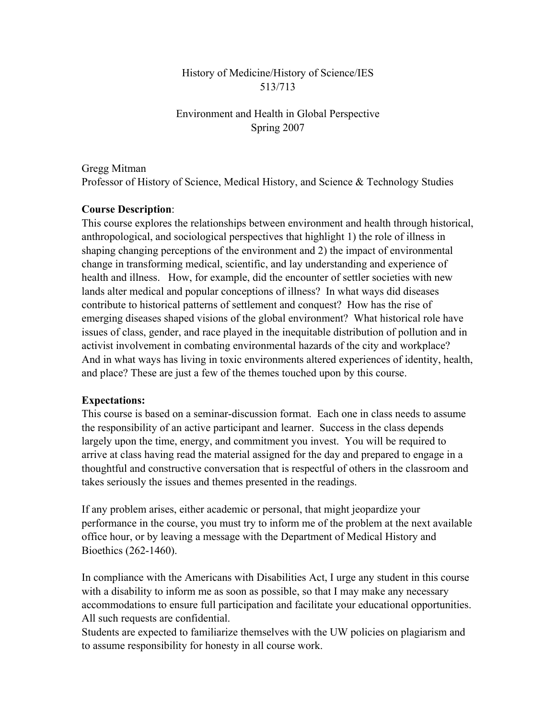## History of Medicine/History of Science/IES 513/713

# Environment and Health in Global Perspective Spring 2007

Gregg Mitman

Professor of History of Science, Medical History, and Science & Technology Studies

# Course Description:

This course explores the relationships between environment and health through historical, anthropological, and sociological perspectives that highlight 1) the role of illness in shaping changing perceptions of the environment and 2) the impact of environmental change in transforming medical, scientific, and lay understanding and experience of health and illness. How, for example, did the encounter of settler societies with new lands alter medical and popular conceptions of illness? In what ways did diseases contribute to historical patterns of settlement and conquest? How has the rise of emerging diseases shaped visions of the global environment? What historical role have issues of class, gender, and race played in the inequitable distribution of pollution and in activist involvement in combating environmental hazards of the city and workplace? And in what ways has living in toxic environments altered experiences of identity, health, and place? These are just a few of the themes touched upon by this course.

## Expectations:

This course is based on a seminar-discussion format. Each one in class needs to assume the responsibility of an active participant and learner. Success in the class depends largely upon the time, energy, and commitment you invest. You will be required to arrive at class having read the material assigned for the day and prepared to engage in a thoughtful and constructive conversation that is respectful of others in the classroom and takes seriously the issues and themes presented in the readings.

If any problem arises, either academic or personal, that might jeopardize your performance in the course, you must try to inform me of the problem at the next available office hour, or by leaving a message with the Department of Medical History and Bioethics (262-1460).

In compliance with the Americans with Disabilities Act, I urge any student in this course with a disability to inform me as soon as possible, so that I may make any necessary accommodations to ensure full participation and facilitate your educational opportunities. All such requests are confidential.

Students are expected to familiarize themselves with the UW policies on plagiarism and to assume responsibility for honesty in all course work.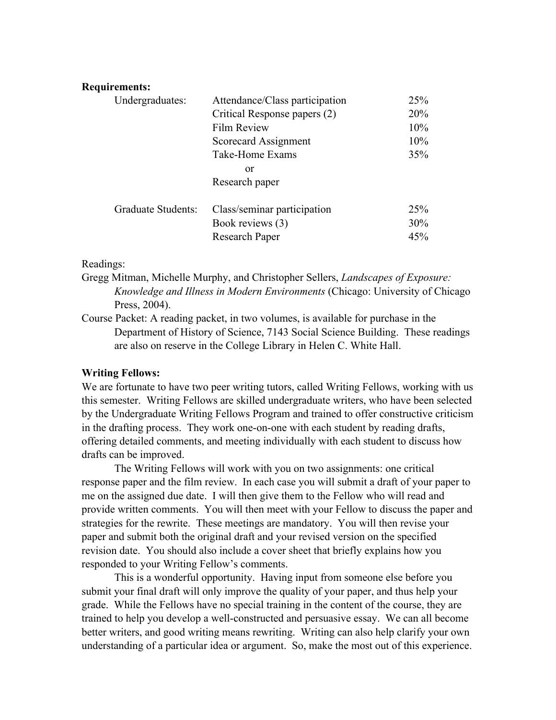#### Requirements:

| Undergraduates:           | Attendance/Class participation | 25%             |
|---------------------------|--------------------------------|-----------------|
|                           | Critical Response papers (2)   | 20%             |
|                           | <b>Film Review</b>             | 10%             |
|                           | Scorecard Assignment           | 10%             |
|                           | Take-Home Exams                | 35%             |
|                           | or                             |                 |
|                           | Research paper                 |                 |
|                           |                                |                 |
| <b>Graduate Students:</b> | Class/seminar participation    | 25 <sup>%</sup> |
|                           | Book reviews (3)               | 30%             |
|                           | Research Paper                 | 45%             |

#### Readings:

Gregg Mitman, Michelle Murphy, and Christopher Sellers, *Landscapes of Exposure: Knowledge and Illness in Modern Environments* (Chicago: University of Chicago Press, 2004).

Course Packet: A reading packet, in two volumes, is available for purchase in the Department of History of Science, 7143 Social Science Building. These readings are also on reserve in the College Library in Helen C. White Hall.

#### Writing Fellows:

We are fortunate to have two peer writing tutors, called Writing Fellows, working with us this semester. Writing Fellows are skilled undergraduate writers, who have been selected by the Undergraduate Writing Fellows Program and trained to offer constructive criticism in the drafting process. They work one-on-one with each student by reading drafts, offering detailed comments, and meeting individually with each student to discuss how drafts can be improved.

The Writing Fellows will work with you on two assignments: one critical response paper and the film review. In each case you will submit a draft of your paper to me on the assigned due date. I will then give them to the Fellow who will read and provide written comments. You will then meet with your Fellow to discuss the paper and strategies for the rewrite. These meetings are mandatory. You will then revise your paper and submit both the original draft and your revised version on the specified revision date. You should also include a cover sheet that briefly explains how you responded to your Writing Fellow's comments.

This is a wonderful opportunity. Having input from someone else before you submit your final draft will only improve the quality of your paper, and thus help your grade. While the Fellows have no special training in the content of the course, they are trained to help you develop a well-constructed and persuasive essay. We can all become better writers, and good writing means rewriting. Writing can also help clarify your own understanding of a particular idea or argument. So, make the most out of this experience.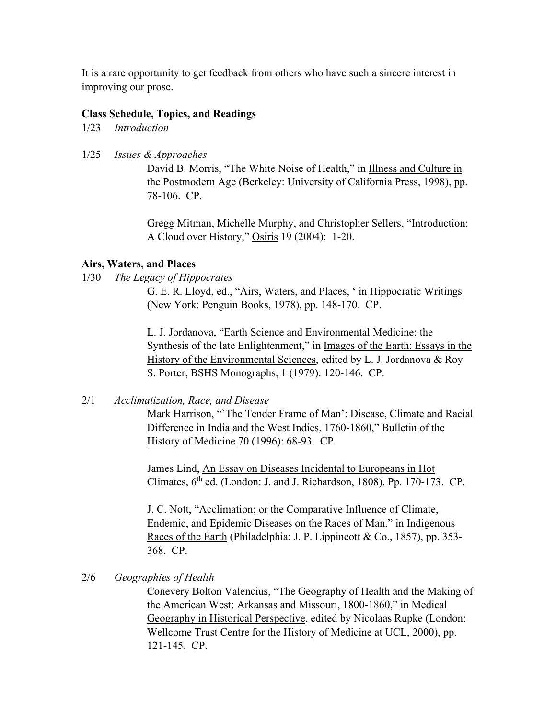It is a rare opportunity to get feedback from others who have such a sincere interest in improving our prose.

#### Class Schedule, Topics, and Readings

1/23 *Introduction*

1/25 *Issues & Approaches*

David B. Morris, "The White Noise of Health," in Illness and Culture in the Postmodern Age (Berkeley: University of California Press, 1998), pp. 78-106. CP.

Gregg Mitman, Michelle Murphy, and Christopher Sellers, "Introduction: A Cloud over History," Osiris 19 (2004): 1-20.

#### Airs, Waters, and Places

1/30 *The Legacy of Hippocrates*

G. E. R. Lloyd, ed., "Airs, Waters, and Places, ' in Hippocratic Writings (New York: Penguin Books, 1978), pp. 148-170. CP.

L. J. Jordanova, "Earth Science and Environmental Medicine: the Synthesis of the late Enlightenment," in Images of the Earth: Essays in the History of the Environmental Sciences, edited by L. J. Jordanova & Roy S. Porter, BSHS Monographs, 1 (1979): 120-146. CP.

## 2/1 *Acclimatization, Race, and Disease*

Mark Harrison, "`The Tender Frame of Man': Disease, Climate and Racial Difference in India and the West Indies, 1760-1860," Bulletin of the History of Medicine 70 (1996): 68-93. CP.

James Lind, An Essay on Diseases Incidental to Europeans in Hot Climates,  $6<sup>th</sup>$  ed. (London: J. and J. Richardson, 1808). Pp. 170-173. CP.

J. C. Nott, "Acclimation; or the Comparative Influence of Climate, Endemic, and Epidemic Diseases on the Races of Man," in Indigenous Races of the Earth (Philadelphia: J. P. Lippincott & Co., 1857), pp. 353- 368. CP.

#### 2/6 *Geographies of Health*

Conevery Bolton Valencius, "The Geography of Health and the Making of the American West: Arkansas and Missouri, 1800-1860," in Medical Geography in Historical Perspective, edited by Nicolaas Rupke (London: Wellcome Trust Centre for the History of Medicine at UCL, 2000), pp. 121-145. CP.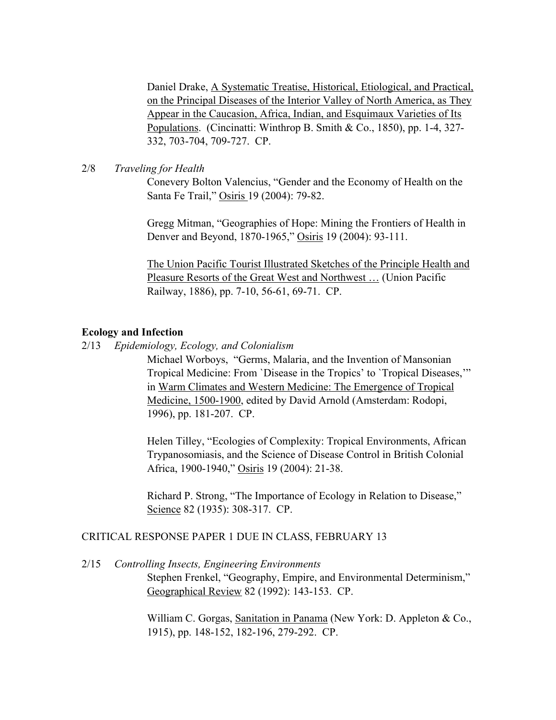Daniel Drake, A Systematic Treatise, Historical, Etiological, and Practical, on the Principal Diseases of the Interior Valley of North America, as They Appear in the Caucasion, Africa, Indian, and Esquimaux Varieties of Its Populations. (Cincinatti: Winthrop B. Smith & Co., 1850), pp. 1-4, 327- 332, 703-704, 709-727. CP.

## 2/8 *Traveling for Health*

Conevery Bolton Valencius, "Gender and the Economy of Health on the Santa Fe Trail," Osiris 19 (2004): 79-82.

Gregg Mitman, "Geographies of Hope: Mining the Frontiers of Health in Denver and Beyond, 1870-1965," Osiris 19 (2004): 93-111.

The Union Pacific Tourist Illustrated Sketches of the Principle Health and Pleasure Resorts of the Great West and Northwest … (Union Pacific Railway, 1886), pp. 7-10, 56-61, 69-71. CP.

## Ecology and Infection

2/13 *Epidemiology, Ecology, and Colonialism*

Michael Worboys, "Germs, Malaria, and the Invention of Mansonian Tropical Medicine: From `Disease in the Tropics' to `Tropical Diseases,'" in Warm Climates and Western Medicine: The Emergence of Tropical Medicine, 1500-1900, edited by David Arnold (Amsterdam: Rodopi, 1996), pp. 181-207. CP.

Helen Tilley, "Ecologies of Complexity: Tropical Environments, African Trypanosomiasis, and the Science of Disease Control in British Colonial Africa, 1900-1940," Osiris 19 (2004): 21-38.

Richard P. Strong, "The Importance of Ecology in Relation to Disease," Science 82 (1935): 308-317. CP.

#### CRITICAL RESPONSE PAPER 1 DUE IN CLASS, FEBRUARY 13

2/15 *Controlling Insects, Engineering Environments*

Stephen Frenkel, "Geography, Empire, and Environmental Determinism," Geographical Review 82 (1992): 143-153. CP.

William C. Gorgas, Sanitation in Panama (New York: D. Appleton & Co., 1915), pp. 148-152, 182-196, 279-292. CP.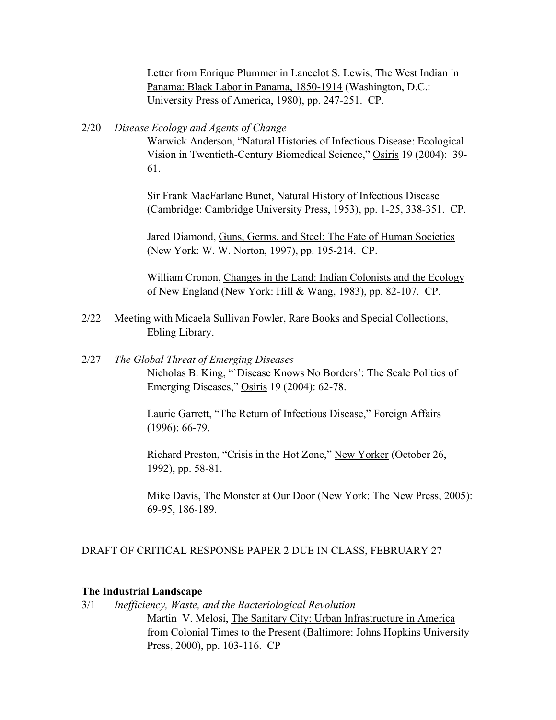Letter from Enrique Plummer in Lancelot S. Lewis, The West Indian in Panama: Black Labor in Panama, 1850-1914 (Washington, D.C.: University Press of America, 1980), pp. 247-251. CP.

#### 2/20 *Disease Ecology and Agents of Change*

Warwick Anderson, "Natural Histories of Infectious Disease: Ecological Vision in Twentieth-Century Biomedical Science," Osiris 19 (2004): 39- 61.

Sir Frank MacFarlane Bunet, Natural History of Infectious Disease (Cambridge: Cambridge University Press, 1953), pp. 1-25, 338-351. CP.

Jared Diamond, Guns, Germs, and Steel: The Fate of Human Societies (New York: W. W. Norton, 1997), pp. 195-214. CP.

William Cronon, Changes in the Land: Indian Colonists and the Ecology of New England (New York: Hill & Wang, 1983), pp. 82-107. CP.

- 2/22 Meeting with Micaela Sullivan Fowler, Rare Books and Special Collections, Ebling Library.
- 2/27 *The Global Threat of Emerging Diseases* Nicholas B. King, "`Disease Knows No Borders': The Scale Politics of Emerging Diseases," Osiris 19 (2004): 62-78.

Laurie Garrett, "The Return of Infectious Disease," Foreign Affairs (1996): 66-79.

Richard Preston, "Crisis in the Hot Zone," New Yorker (October 26, 1992), pp. 58-81.

Mike Davis, The Monster at Our Door (New York: The New Press, 2005): 69-95, 186-189.

#### DRAFT OF CRITICAL RESPONSE PAPER 2 DUE IN CLASS, FEBRUARY 27

#### The Industrial Landscape

3/1 *Inefficiency, Waste, and the Bacteriological Revolution* Martin V. Melosi, The Sanitary City: Urban Infrastructure in America from Colonial Times to the Present (Baltimore: Johns Hopkins University Press, 2000), pp. 103-116. CP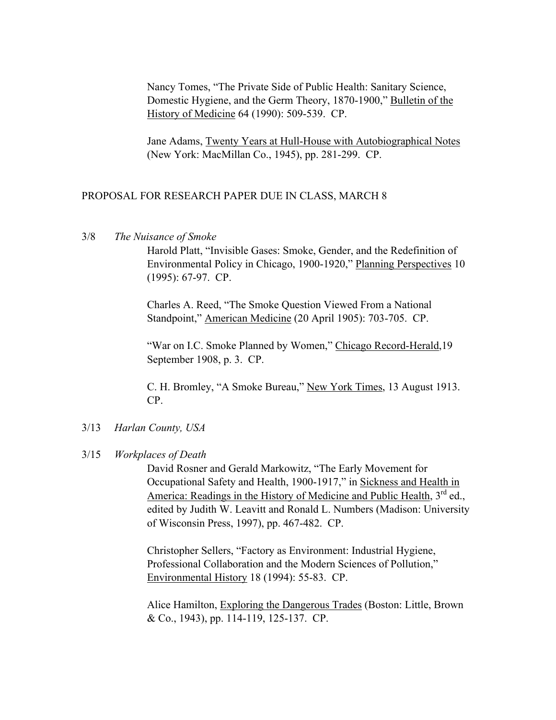Nancy Tomes, "The Private Side of Public Health: Sanitary Science, Domestic Hygiene, and the Germ Theory, 1870-1900," Bulletin of the History of Medicine 64 (1990): 509-539. CP.

Jane Adams, Twenty Years at Hull-House with Autobiographical Notes (New York: MacMillan Co., 1945), pp. 281-299. CP.

## PROPOSAL FOR RESEARCH PAPER DUE IN CLASS, MARCH 8

3/8 *The Nuisance of Smoke*

Harold Platt, "Invisible Gases: Smoke, Gender, and the Redefinition of Environmental Policy in Chicago, 1900-1920," Planning Perspectives 10 (1995): 67-97. CP.

Charles A. Reed, "The Smoke Question Viewed From a National Standpoint," American Medicine (20 April 1905): 703-705. CP.

"War on I.C. Smoke Planned by Women," Chicago Record-Herald, 19 September 1908, p. 3. CP.

C. H. Bromley, "A Smoke Bureau," New York Times, 13 August 1913. CP.

## 3/13 *Harlan County, USA*

#### 3/15 *Workplaces of Death*

David Rosner and Gerald Markowitz, "The Early Movement for Occupational Safety and Health, 1900-1917," in Sickness and Health in America: Readings in the History of Medicine and Public Health, 3<sup>rd</sup> ed., edited by Judith W. Leavitt and Ronald L. Numbers (Madison: University of Wisconsin Press, 1997), pp. 467-482. CP.

Christopher Sellers, "Factory as Environment: Industrial Hygiene, Professional Collaboration and the Modern Sciences of Pollution," Environmental History 18 (1994): 55-83. CP.

Alice Hamilton, Exploring the Dangerous Trades (Boston: Little, Brown & Co., 1943), pp. 114-119, 125-137. CP.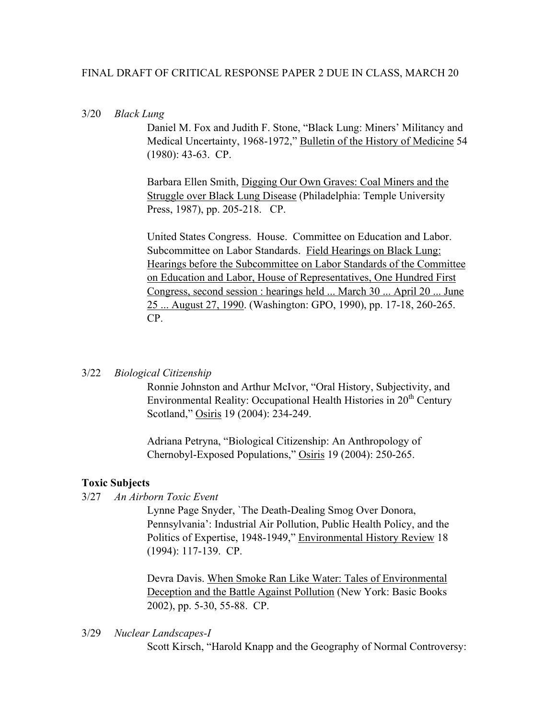## FINAL DRAFT OF CRITICAL RESPONSE PAPER 2 DUE IN CLASS, MARCH 20

#### 3/20 *Black Lung*

Daniel M. Fox and Judith F. Stone, "Black Lung: Miners' Militancy and Medical Uncertainty, 1968-1972," Bulletin of the History of Medicine 54 (1980): 43-63. CP.

Barbara Ellen Smith, Digging Our Own Graves: Coal Miners and the Struggle over Black Lung Disease (Philadelphia: Temple University Press, 1987), pp. 205-218. CP.

United States Congress. House. Committee on Education and Labor. Subcommittee on Labor Standards. Field Hearings on Black Lung: Hearings before the Subcommittee on Labor Standards of the Committee on Education and Labor, House of Representatives, One Hundred First Congress, second session : hearings held ... March 30 ... April 20 ... June 25 ... August 27, 1990. (Washington: GPO, 1990), pp. 17-18, 260-265. CP.

#### 3/22 *Biological Citizenship*

Ronnie Johnston and Arthur McIvor, "Oral History, Subjectivity, and Environmental Reality: Occupational Health Histories in 20<sup>th</sup> Century Scotland," Osiris 19 (2004): 234-249.

Adriana Petryna, "Biological Citizenship: An Anthropology of Chernobyl-Exposed Populations," Osiris 19 (2004): 250-265.

#### Toxic Subjects

3/27 *An Airborn Toxic Event*

Lynne Page Snyder, `The Death-Dealing Smog Over Donora, Pennsylvania': Industrial Air Pollution, Public Health Policy, and the Politics of Expertise, 1948-1949," Environmental History Review 18 (1994): 117-139. CP.

Devra Davis. When Smoke Ran Like Water: Tales of Environmental Deception and the Battle Against Pollution (New York: Basic Books 2002), pp. 5-30, 55-88. CP.

3/29 *Nuclear Landscapes-I*

Scott Kirsch, "Harold Knapp and the Geography of Normal Controversy: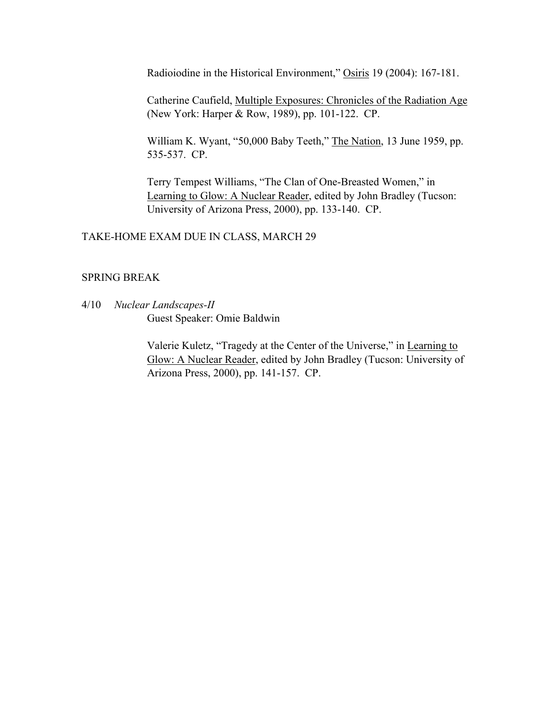Radioiodine in the Historical Environment," Osiris 19 (2004): 167-181.

Catherine Caufield, Multiple Exposures: Chronicles of the Radiation Age (New York: Harper & Row, 1989), pp. 101-122. CP.

William K. Wyant, "50,000 Baby Teeth," The Nation, 13 June 1959, pp. 535-537. CP.

Terry Tempest Williams, "The Clan of One-Breasted Women," in Learning to Glow: A Nuclear Reader, edited by John Bradley (Tucson: University of Arizona Press, 2000), pp. 133-140. CP.

## TAKE-HOME EXAM DUE IN CLASS, MARCH 29

## SPRING BREAK

4/10 *Nuclear Landscapes-II* Guest Speaker: Omie Baldwin

> Valerie Kuletz, "Tragedy at the Center of the Universe," in Learning to Glow: A Nuclear Reader, edited by John Bradley (Tucson: University of Arizona Press, 2000), pp. 141-157. CP.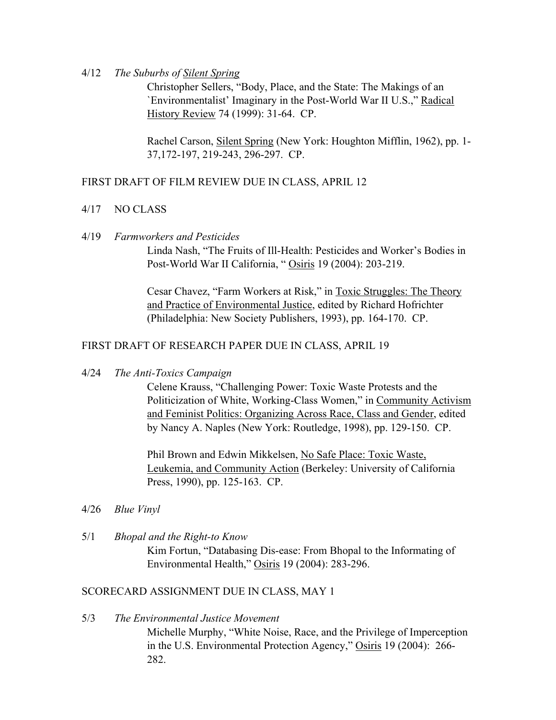4/12 *The Suburbs of Silent Spring*

Christopher Sellers, "Body, Place, and the State: The Makings of an `Environmentalist' Imaginary in the Post-World War II U.S.," Radical History Review 74 (1999): 31-64. CP.

Rachel Carson, Silent Spring (New York: Houghton Mifflin, 1962), pp. 1- 37,172-197, 219-243, 296-297. CP.

## FIRST DRAFT OF FILM REVIEW DUE IN CLASS, APRIL 12

- 4/17 NO CLASS
- 4/19 *Farmworkers and Pesticides*

Linda Nash, "The Fruits of Ill-Health: Pesticides and Worker's Bodies in Post-World War II California, " Osiris 19 (2004): 203-219.

Cesar Chavez, "Farm Workers at Risk," in Toxic Struggles: The Theory and Practice of Environmental Justice, edited by Richard Hofrichter (Philadelphia: New Society Publishers, 1993), pp. 164-170. CP.

## FIRST DRAFT OF RESEARCH PAPER DUE IN CLASS, APRIL 19

4/24 *The Anti-Toxics Campaign*

Celene Krauss, "Challenging Power: Toxic Waste Protests and the Politicization of White, Working-Class Women," in Community Activism and Feminist Politics: Organizing Across Race, Class and Gender, edited by Nancy A. Naples (New York: Routledge, 1998), pp. 129-150. CP.

Phil Brown and Edwin Mikkelsen, No Safe Place: Toxic Waste, Leukemia, and Community Action (Berkeley: University of California Press, 1990), pp. 125-163. CP.

- 4/26 *Blue Vinyl*
- 5/1 *Bhopal and the Right-to Know* Kim Fortun, "Databasing Dis-ease: From Bhopal to the Informating of Environmental Health," Osiris 19 (2004): 283-296.

## SCORECARD ASSIGNMENT DUE IN CLASS, MAY 1

5/3 *The Environmental Justice Movement* Michelle Murphy, "White Noise, Race, and the Privilege of Imperception in the U.S. Environmental Protection Agency," Osiris 19 (2004): 266- 282.